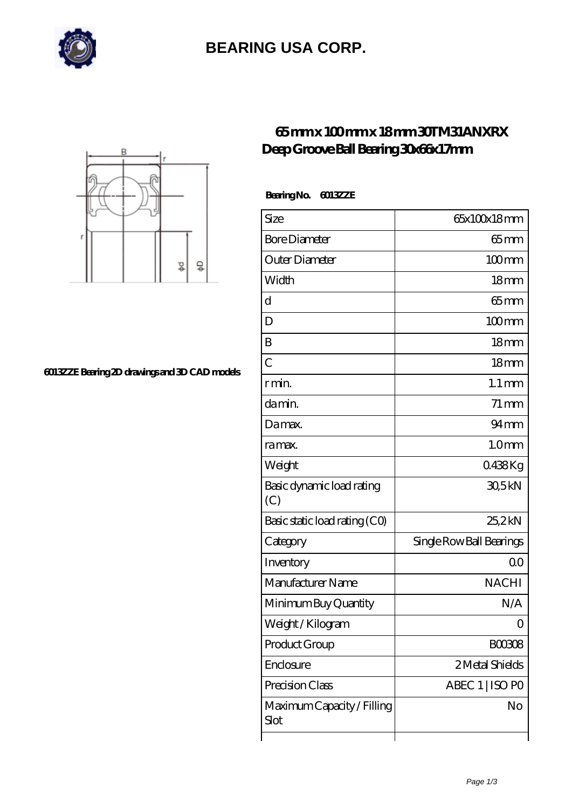

## **[BEARING USA CORP.](https://m.hathaykhongbanghayhat.org)**



#### **[6013ZZE Bearing 2D drawings and 3D CAD models](https://m.hathaykhongbanghayhat.org/pic-676073.html)**

### **[65 mm x 100 mm x 18 mm 30TM31ANXRX](https://m.hathaykhongbanghayhat.org/am-676073-30tm31anxrx-deep-groove-ball-bearing-30x66x17mm.html) [Deep Groove Ball Bearing 30x66x17mm](https://m.hathaykhongbanghayhat.org/am-676073-30tm31anxrx-deep-groove-ball-bearing-30x66x17mm.html)**

 **Bearing No. 6013ZZE**

| Size                               | 65x100x18mm              |
|------------------------------------|--------------------------|
| <b>Bore Diameter</b>               | $65 \text{mm}$           |
| Outer Diameter                     | $100 \text{mm}$          |
| Width                              | 18 <sub>mm</sub>         |
| d                                  | $65 \text{mm}$           |
| D                                  | $100$ mm                 |
| B                                  | 18 <sub>mm</sub>         |
| $\overline{C}$                     | 18 <sub>mm</sub>         |
| r min.                             | $1.1 \,\mathrm{mm}$      |
| da min.                            | $71 \,\mathrm{mm}$       |
| Damax.                             | $94 \text{mm}$           |
| ra max.                            | 1.0 <sub>mm</sub>        |
| Weight                             | 0438Kg                   |
| Basic dynamic load rating<br>(C)   | 30,5kN                   |
| Basic static load rating (CO)      | 25,2kN                   |
| Category                           | Single Row Ball Bearings |
| Inventory                          | 0 <sup>0</sup>           |
| Manufacturer Name                  | <b>NACHI</b>             |
| Minimum Buy Quantity               | N/A                      |
| Weight / Kilogram                  | ( )                      |
| Product Group                      | BOO3O8                   |
| Enclosure                          | 2 Metal Shields          |
| Precision Class                    | ABEC 1   ISO PO          |
| Maximum Capacity / Filling<br>Slot | No                       |
|                                    |                          |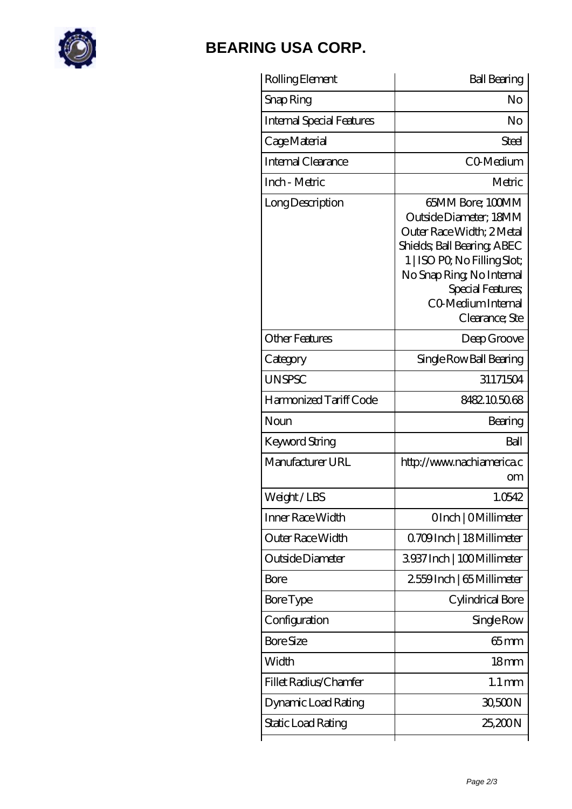

## **[BEARING USA CORP.](https://m.hathaykhongbanghayhat.org)**

| Rolling Element           | <b>Ball Bearing</b>                                                                                                                                                                                                             |
|---------------------------|---------------------------------------------------------------------------------------------------------------------------------------------------------------------------------------------------------------------------------|
| Snap Ring                 | No                                                                                                                                                                                                                              |
| Internal Special Features | No                                                                                                                                                                                                                              |
| Cage Material             | Steel                                                                                                                                                                                                                           |
| Internal Clearance        | CO-Medium                                                                                                                                                                                                                       |
| Inch - Metric             | Metric                                                                                                                                                                                                                          |
| Long Description          | 65MM Bore; 100MM<br>Outside Diameter; 18MM<br>Outer Race Width; 2Metal<br>Shields; Ball Bearing; ABEC<br>1   ISO PO, No Filling Slot;<br>No Snap Ring, No Internal<br>Special Features;<br>CO Medium Internal<br>Clearance; Ste |
| <b>Other Features</b>     | Deep Groove                                                                                                                                                                                                                     |
| Category                  | Single Row Ball Bearing                                                                                                                                                                                                         |
| <b>UNSPSC</b>             | 31171504                                                                                                                                                                                                                        |
| Harmonized Tariff Code    | 8482105068                                                                                                                                                                                                                      |
| Noun                      | Bearing                                                                                                                                                                                                                         |
| Keyword String            | Ball                                                                                                                                                                                                                            |
| Manufacturer URL          | http://www.nachiamerica.c<br><b>om</b>                                                                                                                                                                                          |
| Weight/LBS                | 1.0542                                                                                                                                                                                                                          |
| Inner Race Width          | OInch   OMillimeter                                                                                                                                                                                                             |
| Outer Race Width          | Q709Inch   18 Millimeter                                                                                                                                                                                                        |
| Outside Diameter          | 3937Inch   100Millimeter                                                                                                                                                                                                        |
| Bore                      | 2559Inch   65 Millimeter                                                                                                                                                                                                        |
| <b>Bore Type</b>          | Cylindrical Bore                                                                                                                                                                                                                |
| Configuration             | Single Row                                                                                                                                                                                                                      |
| <b>Bore Size</b>          | $65$ mm                                                                                                                                                                                                                         |
| Width                     | 18 <sub>mm</sub>                                                                                                                                                                                                                |
| Fillet Radius/Chamfer     | $1.1 \,\mathrm{mm}$                                                                                                                                                                                                             |
| Dynamic Load Rating       | 30,500N                                                                                                                                                                                                                         |
| Static Load Rating        | 25,200N                                                                                                                                                                                                                         |
|                           |                                                                                                                                                                                                                                 |